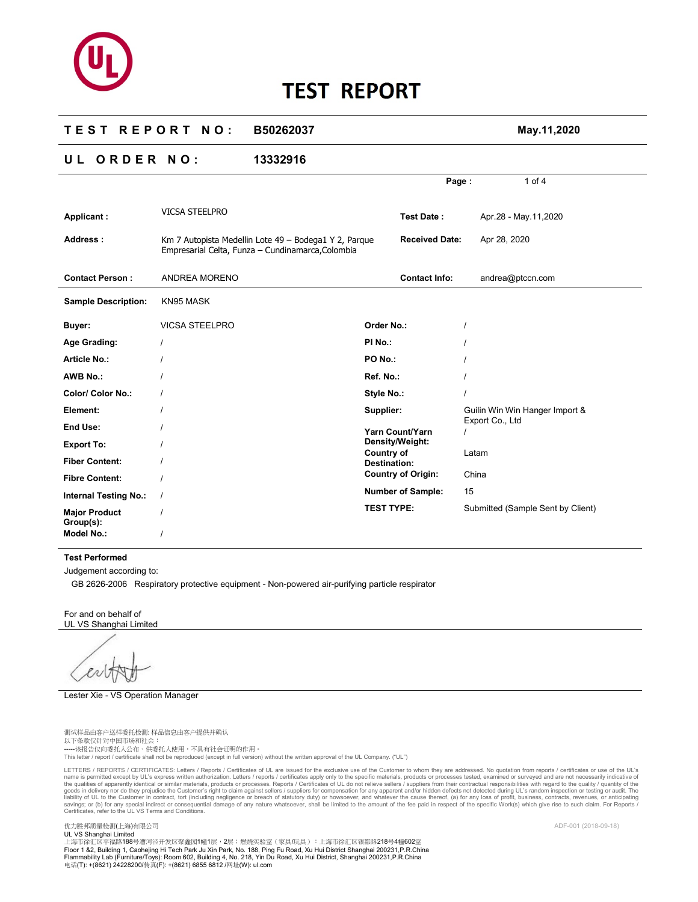### **T E S T R E P O R T N O : B50262037 May.11,2020**

# **U L O R D E R N O : 13332916**

|                                   |                                                                                                            |                                   | Page:                     |                 | 1 of $4$                          |  |
|-----------------------------------|------------------------------------------------------------------------------------------------------------|-----------------------------------|---------------------------|-----------------|-----------------------------------|--|
| Applicant:                        | <b>VICSA STEELPRO</b>                                                                                      |                                   | <b>Test Date:</b>         |                 | Apr.28 - May.11,2020              |  |
| Address:                          | Km 7 Autopista Medellin Lote 49 - Bodega1 Y 2, Parque<br>Empresarial Celta, Funza - Cundinamarca, Colombia |                                   | <b>Received Date:</b>     | Apr 28, 2020    |                                   |  |
| <b>Contact Person:</b>            | ANDREA MORENO                                                                                              |                                   | <b>Contact Info:</b>      |                 | andrea@ptccn.com                  |  |
| <b>Sample Description:</b>        | KN95 MASK                                                                                                  |                                   |                           |                 |                                   |  |
| Buyer:                            | <b>VICSA STEELPRO</b>                                                                                      | Order No.:                        |                           |                 |                                   |  |
| Age Grading:                      |                                                                                                            | PI No.:                           |                           |                 |                                   |  |
| <b>Article No.:</b>               |                                                                                                            | PO No.:                           |                           |                 |                                   |  |
| <b>AWB No.:</b>                   |                                                                                                            | Ref. No.:                         |                           |                 |                                   |  |
| <b>Color/ Color No.:</b>          |                                                                                                            | Style No.:                        |                           |                 |                                   |  |
| Element:                          |                                                                                                            | Supplier:                         |                           |                 | Guilin Win Win Hanger Import &    |  |
| End Use:                          |                                                                                                            |                                   | Yarn Count/Yarn           | Export Co., Ltd |                                   |  |
| <b>Export To:</b>                 |                                                                                                            |                                   | Density/Weight:           |                 |                                   |  |
| <b>Fiber Content:</b>             |                                                                                                            | Country of<br><b>Destination:</b> |                           | Latam           |                                   |  |
| <b>Fibre Content:</b>             |                                                                                                            |                                   | <b>Country of Origin:</b> | China           |                                   |  |
| <b>Internal Testing No.:</b>      |                                                                                                            |                                   | <b>Number of Sample:</b>  | 15              |                                   |  |
| <b>Major Product</b><br>Group(s): |                                                                                                            | <b>TEST TYPE:</b>                 |                           |                 | Submitted (Sample Sent by Client) |  |
| <b>Model No.:</b>                 |                                                                                                            |                                   |                           |                 |                                   |  |

### **Test Performed**

Judgement according to:

GB 2626-2006 Respiratory protective equipment - Non-powered air-purifying particle respirator

For and on behalf of UL VS Shanghai Limited

Lester Xie - VS Operation Manager

测试样品由客户送样委托检测: 样品信息由客户提供并确认 以下条款仅针对中国市场和社会: -----该报告仅向委托人公布、供委托人使用,不具有社会证明的作用。<br>This letter / report / certificate shall not be reproduced (except in full version) without the written approval of the UL Company. ("UL")

LETTERS / REPORTS / CERTIFICATES: Letters / Reports / Certificates of UL are issued for the exclusive use of the Customer to whom they are addressed. No quotation from reports / certificates or use of the UL's name is permitted except by UL's express written authorization. Letters / reports / certificates apply only to the specific materials, products or processes. Reports inclusional are not necessarily indications of the speci Certificates, refer to the UL VS Terms and Conditions.

优力胜邦质量检测(上海)有限公司 ADF-001 (2018-09-18)

UL VS Shanghai Limited<br>上海市徐汇区平福路188号漕河泾开发区聚鑫园1幢1层,2层;燃烧实验室(家具/玩具):上海市徐汇区银都路218号4幢602室 Floor 1 &2, Building 1, Caohejing Hi Tech Park Ju Xin Park, No. 188, Ping Fu Road, Xu Hui District Shanghai 200231,P.R.China<br>Flammability Lab (Furniture/Toys): Room 602, Building 4, No. 218, Yin Du Road, Xu Hui District,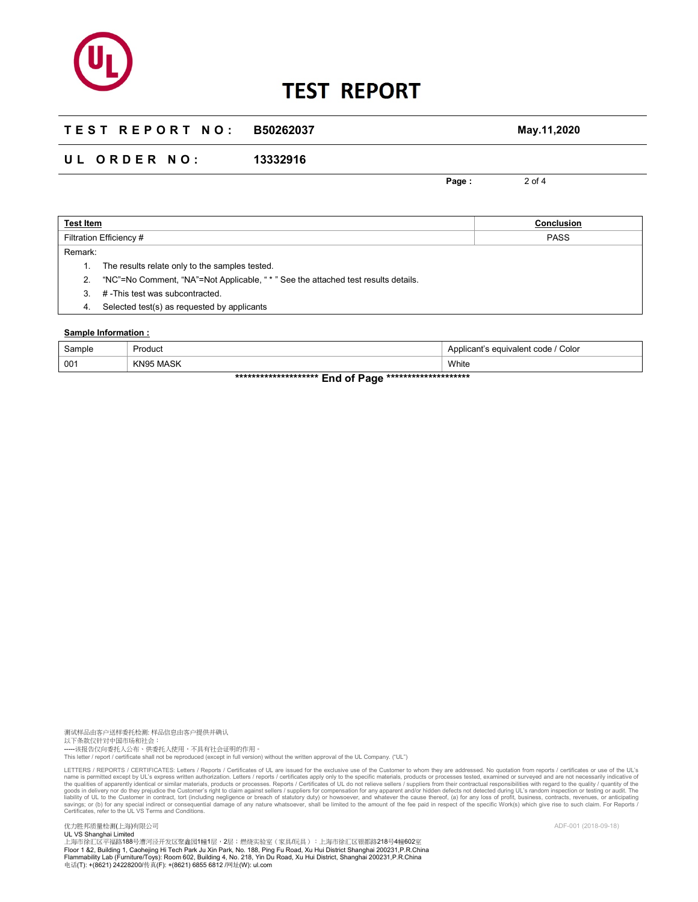## **T E S T R E P O R T N O : B50262037 May.11,2020**

## **U L O R D E R N O : 13332916**

**Page :** 2 of 4

| <b>Test Item</b>        |                                                                                    | Conclusion  |
|-------------------------|------------------------------------------------------------------------------------|-------------|
| Filtration Efficiency # |                                                                                    | <b>PASS</b> |
| Remark:                 |                                                                                    |             |
|                         | The results relate only to the samples tested.                                     |             |
|                         | "NC"=No Comment, "NA"=Not Applicable, " * " See the attached test results details. |             |
| 3.                      | #-This test was subcontracted.                                                     |             |
| 4.                      | Selected test(s) as requested by applicants                                        |             |

### **Sample Information :**

| Sample                                                                                             | Product      | Color<br>Applicant's equivalent code / |  |  |  |
|----------------------------------------------------------------------------------------------------|--------------|----------------------------------------|--|--|--|
| 001                                                                                                | MASK<br>KN95 | White                                  |  |  |  |
| $\sim$<br>attacked a development of a development of a development of a development of $\sim 1000$ |              |                                        |  |  |  |

**\*\*\*\*\*\*\*\*\*\*\*\*\*\*\*\*\*\*\*\* End of Page \*\*\*\*\*\*\*\*\*\*\*\*\*\*\*\*\*\*\*\*** 

测试样品由客户送样委托检测: 样品信息由客户提供并确认 以下条款仅针对中国市场和社会: -----该报告仅向委托人公布、供委托人使用,不具有社会证明的作用。<br>This letter / report / certificate shall not be reproduced (except in full version) without the written approval of the UL Company. ("UL")

LETTERS / REPORTS / CERTIFICATES: Letters / Reports / Certificates of UL are issued for the exclusive use of the Customer to whom they are addressed. No quotation from reports / certificates or use of the UL's axpliers for Certificates, refer to the UL VS Terms and Conditions.

优力胜邦质量检测(上海)有限公司 ADF-001 (2018-09-18)

UL VS Shanghai Limited<br>上海市徐汇区平福路188号漕河泾开发区聚鑫园1幢1层,2层;燃烧实验室(家具/玩具):上海市徐汇区银都路218号4幢602室 Floor 1 &2, Building 1, Caohejing Hi Tech Park Ju Xin Park, No. 188, Ping Fu Road, Xu Hui District Shanghai 200231,P.R.China<br>Flammability Lab (Furniture/Toys): Room 602, Building 4, No. 218, Yin Du Road, Xu Hui District,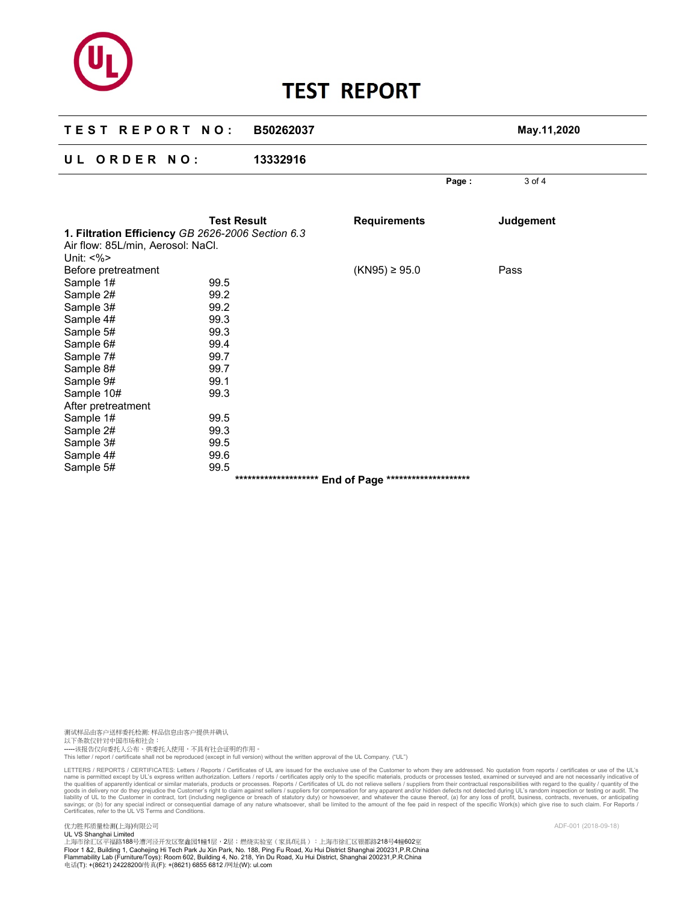| <b>TEST REPORT NO:</b>                                                                                                                                 |                                                                              | B50262037 |                     | May.11,2020      |  |
|--------------------------------------------------------------------------------------------------------------------------------------------------------|------------------------------------------------------------------------------|-----------|---------------------|------------------|--|
| UL ORDER NO:                                                                                                                                           |                                                                              | 13332916  |                     |                  |  |
|                                                                                                                                                        |                                                                              |           | Page:               | 3 of 4           |  |
| 1. Filtration Efficiency GB 2626-2006 Section 6.3<br>Air flow: 85L/min, Aerosol: NaCl.<br>Unit: $<\frac{9}{6}$                                         | <b>Test Result</b>                                                           |           | <b>Requirements</b> | <b>Judgement</b> |  |
| Before pretreatment<br>Sample 1#<br>Sample 2#<br>Sample 3#<br>Sample 4#<br>Sample 5#<br>Sample 6#<br>Sample 7#<br>Sample 8#<br>Sample 9#<br>Sample 10# | 99.5<br>99.2<br>99.2<br>99.3<br>99.3<br>99.4<br>99.7<br>99.7<br>99.1<br>99.3 |           | $(KN95) \ge 95.0$   | Pass             |  |
| After pretreatment<br>Sample 1#<br>Sample 2#<br>Sample 3#<br>Sample 4#<br>Sample 5#                                                                    | 99.5<br>99.3<br>99.5<br>99.6<br>99.5                                         |           |                     |                  |  |

测试样品由客户送样委托检测: 样品信息由客户提供并确认 以下条款仅针对中国市场和社会: -----该报告仅向委托人公布、供委托人使用,不具有社会证明的作用。<br>This letter / report / certificate shall not be reproduced (except in full version) without the written approval of the UL Company. ("UL")

LETTERS / REPORTS / CERTIFICATES: Letters / Reports / Certificates of UL are issued for the exclusive use of the Customer to whom they are addressed. No quotation from reports / certificates or use of the UL's axpliers for Certificates, refer to the UL VS Terms and Conditions.

优力胜邦质量检测(上海)有限公司<br>UL VS Shanghai Limited<br>上海市徐汇区平福路188号漕河泾开发区聚鑫园1幢1层,2层;燃烧实验室(家具/玩具):上海市徐汇区银都路218号4幢602室 Floor 1 &2, Building 1, Caohejing Hi Tech Park Ju Xin Park, No. 188, Ping Fu Road, Xu Hui District Shanghai 200231,P.R.China<br>Flammability Lab (Furniture/Toys): Room 602, Building 4, No. 218, Yin Du Road, Xu Hui District,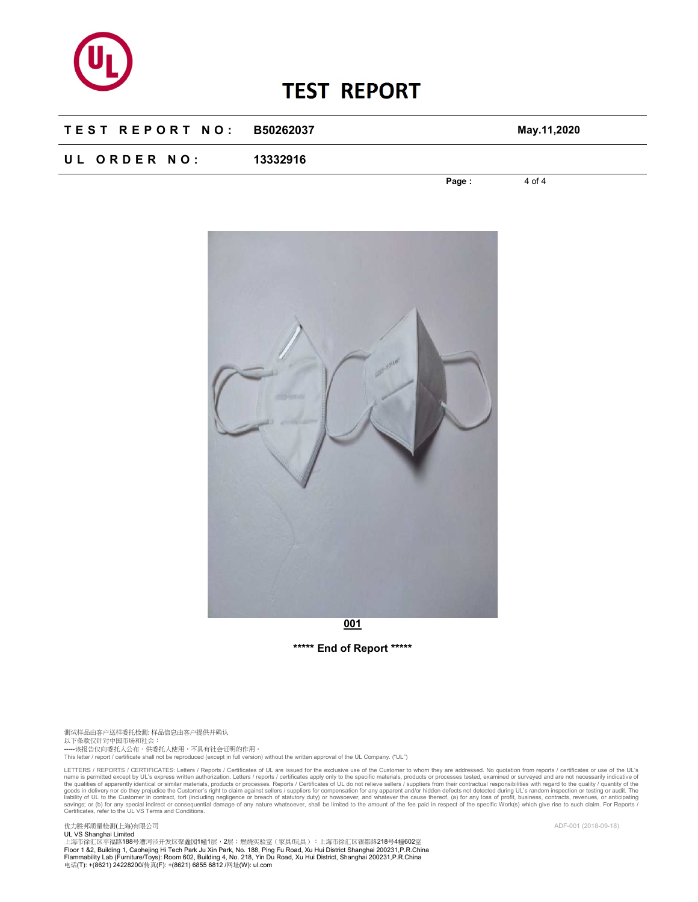

### **T E S T R E P O R T N O : B50262037 May.11,2020**

## **U L O R D E R N O : 13332916**

**Page :** 4 of 4



**\*\*\*\*\* End of Report \*\*\*\*\*** 

测试样品由客户送样委托检测: 样品信息由客户提供并确认 以下条款仅针对中国市场和社会: -----该报告仅向委托人公布、供委托人使用,不具有社会证明的作用。<br>This letter / report / certificate shall not be reproduced (except in full version) without the written approval of the UL Company. ("UL")

LETTERS / REPORTS / CERTIFICATES: Letters / Reports / Certificates of UL are issued for the exclusive use of the Customer to whom they are addressed. No quotation from reports / certificates or use of the UL's axpliers for Certificates, refer to the UL VS Terms and Conditions.

优力胜邦质量检测(上海)有限公司 ADF-001 (2018-09-18)

UL VS Shanghai Limited<br>上海市徐汇区平福路188号漕河泾开发区聚鑫园1幢1层,2层;燃烧实验室(家具/玩具):上海市徐汇区银都路218号4幢602室 Floor 1 &2, Building 1, Caohejing Hi Tech Park Ju Xin Park, No. 188, Ping Fu Road, Xu Hui District Shanghai 200231,P.R.China<br>Flammability Lab (Furniture/Toys): Room 602, Building 4, No. 218, Yin Du Road, Xu Hui District,